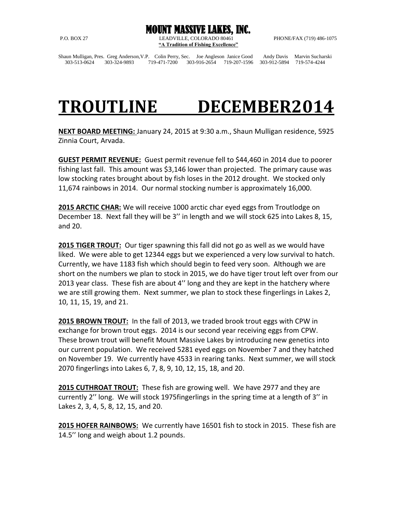MOUNT MASSIVE LAKES, INC. P.O. BOX 27 LEADVILLE, COLORADO 80461 PHONE/FAX (719) 486-1075 **"A Tradition of Fishing Excellence"**

Shaun Mulligan, Pres. Greg Anderson,V.P. Colin Perry, Sec. Joe Angleson Janice Good Andy Davis Marvin Sucharski 303-513-0624 303-324-9893 719-471-7200 303-916-2654 719-207-1596 303-912-5894 719-574-4244

## **TROUTLINE DECEMBER2014**

**NEXT BOARD MEETING:** January 24, 2015 at 9:30 a.m., Shaun Mulligan residence, 5925 Zinnia Court, Arvada.

**GUEST PERMIT REVENUE:** Guest permit revenue fell to \$44,460 in 2014 due to poorer fishing last fall. This amount was \$3,146 lower than projected. The primary cause was low stocking rates brought about by fish loses in the 2012 drought. We stocked only 11,674 rainbows in 2014. Our normal stocking number is approximately 16,000.

**2015 ARCTIC CHAR:** We will receive 1000 arctic char eyed eggs from Troutlodge on December 18. Next fall they will be 3'' in length and we will stock 625 into Lakes 8, 15, and 20.

**2015 TIGER TROUT:** Our tiger spawning this fall did not go as well as we would have liked. We were able to get 12344 eggs but we experienced a very low survival to hatch. Currently, we have 1183 fish which should begin to feed very soon. Although we are short on the numbers we plan to stock in 2015, we do have tiger trout left over from our 2013 year class. These fish are about 4'' long and they are kept in the hatchery where we are still growing them. Next summer, we plan to stock these fingerlings in Lakes 2, 10, 11, 15, 19, and 21.

**2015 BROWN TROUT:** In the fall of 2013, we traded brook trout eggs with CPW in exchange for brown trout eggs. 2014 is our second year receiving eggs from CPW. These brown trout will benefit Mount Massive Lakes by introducing new genetics into our current population. We received 5281 eyed eggs on November 7 and they hatched on November 19. We currently have 4533 in rearing tanks. Next summer, we will stock 2070 fingerlings into Lakes 6, 7, 8, 9, 10, 12, 15, 18, and 20.

**2015 CUTHROAT TROUT:** These fish are growing well. We have 2977 and they are currently 2'' long. We will stock 1975fingerlings in the spring time at a length of 3'' in Lakes 2, 3, 4, 5, 8, 12, 15, and 20.

**2015 HOFER RAINBOWS:** We currently have 16501 fish to stock in 2015. These fish are 14.5'' long and weigh about 1.2 pounds.